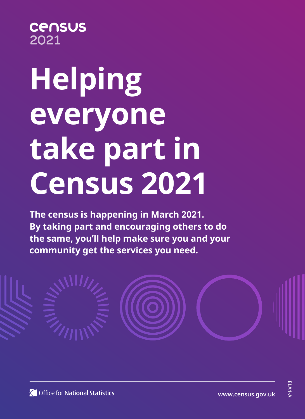#### **CANSUS** 2021

# **Helping everyone take part in Census 2021**

**The census is happening in March 2021. By taking part and encouraging others to do the same, you'll help make sure you and your community get the services you need.**



**ELA1-A**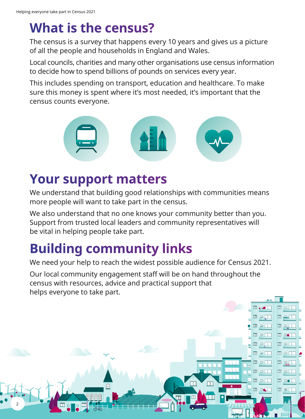## **What is the census?**

The census is a survey that happens every 10 years and gives us a picture of all the people and households in England and Wales.

Local councils, charities and many other organisations use census information to decide how to spend billions of pounds on services every year.

This includes spending on transport, education and healthcare. To make sure this money is spent where it's most needed, it's important that the census counts everyone.



## **Your support matters**

We understand that building good relationships with communities means more people will want to take part in the census.

We also understand that no one knows your community better than you. Support from trusted local leaders and community representatives will be vital in helping people take part.

## **Building community links**

We need your help to reach the widest possible audience for Census 2021.

Our local community engagement staff will be on hand throughout the census with resources, advice and practical support that helps everyone to take part.